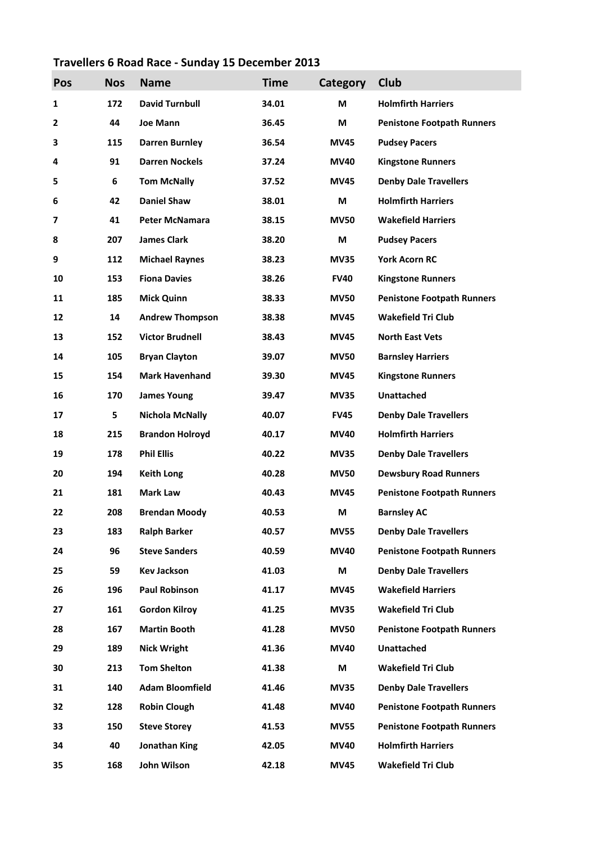| <b>Pos</b>     | <b>Nos</b> | <b>Name</b>            | <b>Time</b> | Category    | Club                              |
|----------------|------------|------------------------|-------------|-------------|-----------------------------------|
| 1              | 172        | <b>David Turnbull</b>  | 34.01       | М           | <b>Holmfirth Harriers</b>         |
| $\overline{2}$ | 44         | <b>Joe Mann</b>        | 36.45       | M           | <b>Penistone Footpath Runners</b> |
| 3              | 115        | <b>Darren Burnley</b>  | 36.54       | <b>MV45</b> | <b>Pudsey Pacers</b>              |
| 4              | 91         | <b>Darren Nockels</b>  | 37.24       | <b>MV40</b> | <b>Kingstone Runners</b>          |
| 5              | 6          | <b>Tom McNally</b>     | 37.52       | <b>MV45</b> | <b>Denby Dale Travellers</b>      |
| 6              | 42         | <b>Daniel Shaw</b>     | 38.01       | M           | <b>Holmfirth Harriers</b>         |
| 7              | 41         | <b>Peter McNamara</b>  | 38.15       | <b>MV50</b> | <b>Wakefield Harriers</b>         |
| 8              | 207        | <b>James Clark</b>     | 38.20       | M           | <b>Pudsey Pacers</b>              |
| 9              | 112        | <b>Michael Raynes</b>  | 38.23       | <b>MV35</b> | <b>York Acorn RC</b>              |
| 10             | 153        | <b>Fiona Davies</b>    | 38.26       | <b>FV40</b> | <b>Kingstone Runners</b>          |
| 11             | 185        | Mick Quinn             | 38.33       | <b>MV50</b> | <b>Penistone Footpath Runners</b> |
| 12             | 14         | <b>Andrew Thompson</b> | 38.38       | <b>MV45</b> | <b>Wakefield Tri Club</b>         |
| 13             | 152        | <b>Victor Brudnell</b> | 38.43       | <b>MV45</b> | <b>North East Vets</b>            |
| 14             | 105        | <b>Bryan Clayton</b>   | 39.07       | <b>MV50</b> | <b>Barnsley Harriers</b>          |
| 15             | 154        | <b>Mark Havenhand</b>  | 39.30       | <b>MV45</b> | <b>Kingstone Runners</b>          |
| 16             | 170        | <b>James Young</b>     | 39.47       | <b>MV35</b> | <b>Unattached</b>                 |
| 17             | 5          | <b>Nichola McNally</b> | 40.07       | <b>FV45</b> | <b>Denby Dale Travellers</b>      |
| 18             | 215        | <b>Brandon Holroyd</b> | 40.17       | <b>MV40</b> | <b>Holmfirth Harriers</b>         |
| 19             | 178        | <b>Phil Ellis</b>      | 40.22       | <b>MV35</b> | <b>Denby Dale Travellers</b>      |
| 20             | 194        | <b>Keith Long</b>      | 40.28       | <b>MV50</b> | <b>Dewsbury Road Runners</b>      |
| 21             | 181        | <b>Mark Law</b>        | 40.43       | MV45        | <b>Penistone Footpath Runners</b> |
| 22             | 208        | <b>Brendan Moody</b>   | 40.53       | M           | <b>Barnsley AC</b>                |
| 23             | 183        | <b>Ralph Barker</b>    | 40.57       | <b>MV55</b> | <b>Denby Dale Travellers</b>      |
| 24             | 96         | <b>Steve Sanders</b>   | 40.59       | <b>MV40</b> | <b>Penistone Footpath Runners</b> |
| 25             | 59         | <b>Kev Jackson</b>     | 41.03       | M           | <b>Denby Dale Travellers</b>      |
| 26             | 196        | <b>Paul Robinson</b>   | 41.17       | <b>MV45</b> | <b>Wakefield Harriers</b>         |
| 27             | 161        | <b>Gordon Kilroy</b>   | 41.25       | <b>MV35</b> | <b>Wakefield Tri Club</b>         |
| 28             | 167        | <b>Martin Booth</b>    | 41.28       | <b>MV50</b> | <b>Penistone Footpath Runners</b> |
| 29             | 189        | <b>Nick Wright</b>     | 41.36       | <b>MV40</b> | <b>Unattached</b>                 |
| 30             | 213        | <b>Tom Shelton</b>     | 41.38       | M           | <b>Wakefield Tri Club</b>         |
| 31             | 140        | <b>Adam Bloomfield</b> | 41.46       | <b>MV35</b> | <b>Denby Dale Travellers</b>      |
| 32             | 128        | <b>Robin Clough</b>    | 41.48       | <b>MV40</b> | <b>Penistone Footpath Runners</b> |
| 33             | 150        | <b>Steve Storey</b>    | 41.53       | <b>MV55</b> | <b>Penistone Footpath Runners</b> |
| 34             | 40         | Jonathan King          | 42.05       | <b>MV40</b> | <b>Holmfirth Harriers</b>         |
| 35             | 168        | John Wilson            | 42.18       | <b>MV45</b> | Wakefield Tri Club                |

## **Travellers 6 Road Race ‐ Sunday 15 December 2013**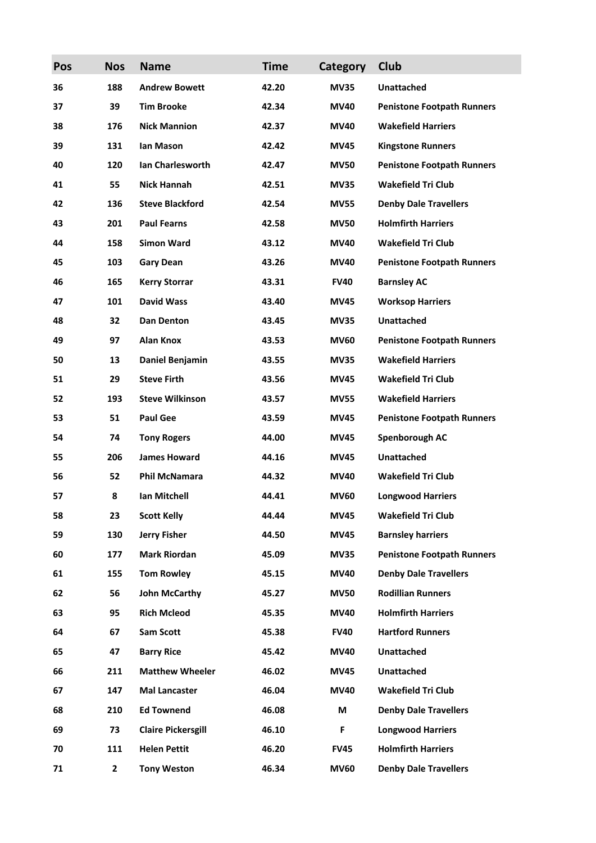| <b>Pos</b> | <b>Nos</b>   | <b>Name</b>               | <b>Time</b> | Category    | Club                              |
|------------|--------------|---------------------------|-------------|-------------|-----------------------------------|
| 36         | 188          | <b>Andrew Bowett</b>      | 42.20       | <b>MV35</b> | <b>Unattached</b>                 |
| 37         | 39           | <b>Tim Brooke</b>         | 42.34       | <b>MV40</b> | <b>Penistone Footpath Runners</b> |
| 38         | 176          | <b>Nick Mannion</b>       | 42.37       | <b>MV40</b> | <b>Wakefield Harriers</b>         |
| 39         | 131          | Ian Mason                 | 42.42       | <b>MV45</b> | <b>Kingstone Runners</b>          |
| 40         | 120          | Ian Charlesworth          | 42.47       | <b>MV50</b> | <b>Penistone Footpath Runners</b> |
| 41         | 55           | <b>Nick Hannah</b>        | 42.51       | <b>MV35</b> | <b>Wakefield Tri Club</b>         |
| 42         | 136          | <b>Steve Blackford</b>    | 42.54       | <b>MV55</b> | <b>Denby Dale Travellers</b>      |
| 43         | 201          | <b>Paul Fearns</b>        | 42.58       | <b>MV50</b> | <b>Holmfirth Harriers</b>         |
| 44         | 158          | <b>Simon Ward</b>         | 43.12       | <b>MV40</b> | <b>Wakefield Tri Club</b>         |
| 45         | 103          | <b>Gary Dean</b>          | 43.26       | <b>MV40</b> | <b>Penistone Footpath Runners</b> |
| 46         | 165          | <b>Kerry Storrar</b>      | 43.31       | <b>FV40</b> | <b>Barnsley AC</b>                |
| 47         | 101          | <b>David Wass</b>         | 43.40       | <b>MV45</b> | <b>Worksop Harriers</b>           |
| 48         | 32           | Dan Denton                | 43.45       | <b>MV35</b> | <b>Unattached</b>                 |
| 49         | 97           | <b>Alan Knox</b>          | 43.53       | <b>MV60</b> | <b>Penistone Footpath Runners</b> |
| 50         | 13           | Daniel Benjamin           | 43.55       | <b>MV35</b> | <b>Wakefield Harriers</b>         |
| 51         | 29           | <b>Steve Firth</b>        | 43.56       | <b>MV45</b> | <b>Wakefield Tri Club</b>         |
| 52         | 193          | <b>Steve Wilkinson</b>    | 43.57       | <b>MV55</b> | <b>Wakefield Harriers</b>         |
| 53         | 51           | <b>Paul Gee</b>           | 43.59       | <b>MV45</b> | <b>Penistone Footpath Runners</b> |
| 54         | 74           | <b>Tony Rogers</b>        | 44.00       | <b>MV45</b> | Spenborough AC                    |
| 55         | 206          | <b>James Howard</b>       | 44.16       | <b>MV45</b> | <b>Unattached</b>                 |
| 56         | 52           | <b>Phil McNamara</b>      | 44.32       | <b>MV40</b> | <b>Wakefield Tri Club</b>         |
| 57         | 8            | Ian Mitchell              | 44.41       | <b>MV60</b> | <b>Longwood Harriers</b>          |
| 58         | 23           | <b>Scott Kelly</b>        | 44.44       | <b>MV45</b> | <b>Wakefield Tri Club</b>         |
| 59         | 130          | <b>Jerry Fisher</b>       | 44.50       | <b>MV45</b> | <b>Barnsley harriers</b>          |
| 60         | 177          | <b>Mark Riordan</b>       | 45.09       | <b>MV35</b> | <b>Penistone Footpath Runners</b> |
| 61         | 155          | <b>Tom Rowley</b>         | 45.15       | <b>MV40</b> | <b>Denby Dale Travellers</b>      |
| 62         | 56           | <b>John McCarthy</b>      | 45.27       | <b>MV50</b> | <b>Rodillian Runners</b>          |
| 63         | 95           | <b>Rich Mcleod</b>        | 45.35       | <b>MV40</b> | <b>Holmfirth Harriers</b>         |
| 64         | 67           | Sam Scott                 | 45.38       | <b>FV40</b> | <b>Hartford Runners</b>           |
| 65         | 47           | <b>Barry Rice</b>         | 45.42       | <b>MV40</b> | <b>Unattached</b>                 |
| 66         | 211          | <b>Matthew Wheeler</b>    | 46.02       | <b>MV45</b> | <b>Unattached</b>                 |
| 67         | 147          | <b>Mal Lancaster</b>      | 46.04       | <b>MV40</b> | <b>Wakefield Tri Club</b>         |
| 68         | 210          | <b>Ed Townend</b>         | 46.08       | M           | <b>Denby Dale Travellers</b>      |
| 69         | 73           | <b>Claire Pickersgill</b> | 46.10       | F           | <b>Longwood Harriers</b>          |
| 70         | 111          | <b>Helen Pettit</b>       | 46.20       | <b>FV45</b> | <b>Holmfirth Harriers</b>         |
| 71         | $\mathbf{2}$ | <b>Tony Weston</b>        | 46.34       | <b>MV60</b> | <b>Denby Dale Travellers</b>      |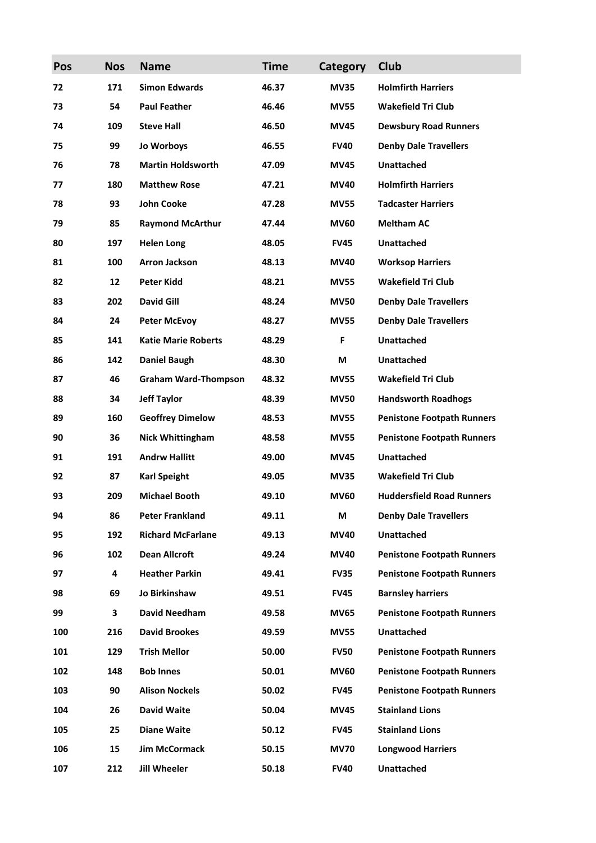| <b>Pos</b> | <b>Nos</b> | <b>Name</b>                 | <b>Time</b> | Category    | Club                              |
|------------|------------|-----------------------------|-------------|-------------|-----------------------------------|
| 72         | 171        | <b>Simon Edwards</b>        | 46.37       | <b>MV35</b> | <b>Holmfirth Harriers</b>         |
| 73         | 54         | <b>Paul Feather</b>         | 46.46       | <b>MV55</b> | <b>Wakefield Tri Club</b>         |
| 74         | 109        | <b>Steve Hall</b>           | 46.50       | <b>MV45</b> | <b>Dewsbury Road Runners</b>      |
| 75         | 99         | Jo Worboys                  | 46.55       | <b>FV40</b> | <b>Denby Dale Travellers</b>      |
| 76         | 78         | <b>Martin Holdsworth</b>    | 47.09       | <b>MV45</b> | <b>Unattached</b>                 |
| 77         | 180        | <b>Matthew Rose</b>         | 47.21       | <b>MV40</b> | <b>Holmfirth Harriers</b>         |
| 78         | 93         | <b>John Cooke</b>           | 47.28       | <b>MV55</b> | <b>Tadcaster Harriers</b>         |
| 79         | 85         | <b>Raymond McArthur</b>     | 47.44       | <b>MV60</b> | <b>Meltham AC</b>                 |
| 80         | 197        | <b>Helen Long</b>           | 48.05       | <b>FV45</b> | <b>Unattached</b>                 |
| 81         | 100        | <b>Arron Jackson</b>        | 48.13       | <b>MV40</b> | <b>Worksop Harriers</b>           |
| 82         | 12         | <b>Peter Kidd</b>           | 48.21       | <b>MV55</b> | <b>Wakefield Tri Club</b>         |
| 83         | 202        | <b>David Gill</b>           | 48.24       | <b>MV50</b> | <b>Denby Dale Travellers</b>      |
| 84         | 24         | <b>Peter McEvoy</b>         | 48.27       | <b>MV55</b> | <b>Denby Dale Travellers</b>      |
| 85         | 141        | <b>Katie Marie Roberts</b>  | 48.29       | F           | <b>Unattached</b>                 |
| 86         | 142        | <b>Daniel Baugh</b>         | 48.30       | M           | <b>Unattached</b>                 |
| 87         | 46         | <b>Graham Ward-Thompson</b> | 48.32       | <b>MV55</b> | <b>Wakefield Tri Club</b>         |
| 88         | 34         | <b>Jeff Taylor</b>          | 48.39       | <b>MV50</b> | <b>Handsworth Roadhogs</b>        |
| 89         | 160        | <b>Geoffrey Dimelow</b>     | 48.53       | <b>MV55</b> | <b>Penistone Footpath Runners</b> |
| 90         | 36         | <b>Nick Whittingham</b>     | 48.58       | <b>MV55</b> | <b>Penistone Footpath Runners</b> |
| 91         | 191        | <b>Andrw Hallitt</b>        | 49.00       | <b>MV45</b> | <b>Unattached</b>                 |
| 92         | 87         | <b>Karl Speight</b>         | 49.05       | <b>MV35</b> | <b>Wakefield Tri Club</b>         |
| 93         | 209        | <b>Michael Booth</b>        | 49.10       | <b>MV60</b> | <b>Huddersfield Road Runners</b>  |
| 94         | 86         | <b>Peter Frankland</b>      | 49.11       | M           | <b>Denby Dale Travellers</b>      |
| 95         | 192        | <b>Richard McFarlane</b>    | 49.13       | <b>MV40</b> | <b>Unattached</b>                 |
| 96         | 102        | <b>Dean Allcroft</b>        | 49.24       | <b>MV40</b> | <b>Penistone Footpath Runners</b> |
| 97         | 4          | <b>Heather Parkin</b>       | 49.41       | <b>FV35</b> | <b>Penistone Footpath Runners</b> |
| 98         | 69         | Jo Birkinshaw               | 49.51       | <b>FV45</b> | <b>Barnsley harriers</b>          |
| 99         | 3          | <b>David Needham</b>        | 49.58       | <b>MV65</b> | <b>Penistone Footpath Runners</b> |
| 100        | 216        | <b>David Brookes</b>        | 49.59       | <b>MV55</b> | <b>Unattached</b>                 |
| 101        | 129        | <b>Trish Mellor</b>         | 50.00       | <b>FV50</b> | <b>Penistone Footpath Runners</b> |
| 102        | 148        | <b>Bob Innes</b>            | 50.01       | <b>MV60</b> | <b>Penistone Footpath Runners</b> |
| 103        | 90         | <b>Alison Nockels</b>       | 50.02       | <b>FV45</b> | <b>Penistone Footpath Runners</b> |
| 104        | 26         | <b>David Waite</b>          | 50.04       | <b>MV45</b> | <b>Stainland Lions</b>            |
| 105        | 25         | <b>Diane Waite</b>          | 50.12       | <b>FV45</b> | <b>Stainland Lions</b>            |
| 106        | 15         | <b>Jim McCormack</b>        | 50.15       | <b>MV70</b> | <b>Longwood Harriers</b>          |
| 107        | 212        | <b>Jill Wheeler</b>         | 50.18       | <b>FV40</b> | <b>Unattached</b>                 |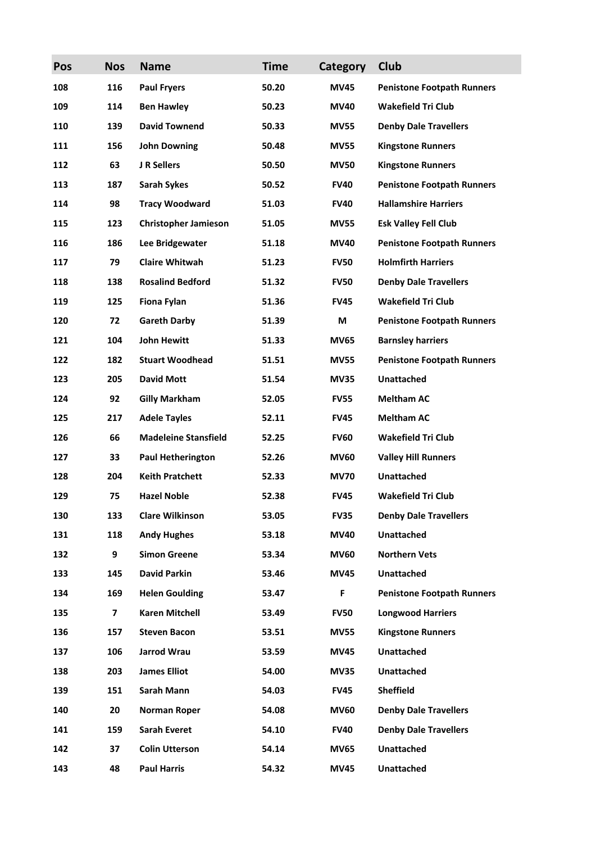| <b>Pos</b> | <b>Nos</b> | <b>Name</b>                 | <b>Time</b> | Category    | Club                              |
|------------|------------|-----------------------------|-------------|-------------|-----------------------------------|
| 108        | 116        | <b>Paul Fryers</b>          | 50.20       | <b>MV45</b> | <b>Penistone Footpath Runners</b> |
| 109        | 114        | <b>Ben Hawley</b>           | 50.23       | <b>MV40</b> | <b>Wakefield Tri Club</b>         |
| 110        | 139        | <b>David Townend</b>        | 50.33       | <b>MV55</b> | <b>Denby Dale Travellers</b>      |
| 111        | 156        | <b>John Downing</b>         | 50.48       | <b>MV55</b> | <b>Kingstone Runners</b>          |
| 112        | 63         | J R Sellers                 | 50.50       | <b>MV50</b> | <b>Kingstone Runners</b>          |
| 113        | 187        | <b>Sarah Sykes</b>          | 50.52       | <b>FV40</b> | <b>Penistone Footpath Runners</b> |
| 114        | 98         | <b>Tracy Woodward</b>       | 51.03       | <b>FV40</b> | <b>Hallamshire Harriers</b>       |
| 115        | 123        | <b>Christopher Jamieson</b> | 51.05       | <b>MV55</b> | <b>Esk Valley Fell Club</b>       |
| 116        | 186        | Lee Bridgewater             | 51.18       | <b>MV40</b> | <b>Penistone Footpath Runners</b> |
| 117        | 79         | <b>Claire Whitwah</b>       | 51.23       | <b>FV50</b> | <b>Holmfirth Harriers</b>         |
| 118        | 138        | <b>Rosalind Bedford</b>     | 51.32       | <b>FV50</b> | <b>Denby Dale Travellers</b>      |
| 119        | 125        | <b>Fiona Fylan</b>          | 51.36       | <b>FV45</b> | <b>Wakefield Tri Club</b>         |
| 120        | 72         | <b>Gareth Darby</b>         | 51.39       | M           | <b>Penistone Footpath Runners</b> |
| 121        | 104        | <b>John Hewitt</b>          | 51.33       | <b>MV65</b> | <b>Barnsley harriers</b>          |
| 122        | 182        | <b>Stuart Woodhead</b>      | 51.51       | <b>MV55</b> | <b>Penistone Footpath Runners</b> |
| 123        | 205        | <b>David Mott</b>           | 51.54       | <b>MV35</b> | <b>Unattached</b>                 |
| 124        | 92         | <b>Gilly Markham</b>        | 52.05       | <b>FV55</b> | <b>Meltham AC</b>                 |
| 125        | 217        | <b>Adele Tayles</b>         | 52.11       | <b>FV45</b> | <b>Meltham AC</b>                 |
| 126        | 66         | <b>Madeleine Stansfield</b> | 52.25       | <b>FV60</b> | <b>Wakefield Tri Club</b>         |
| 127        | 33         | <b>Paul Hetherington</b>    | 52.26       | <b>MV60</b> | <b>Valley Hill Runners</b>        |
| 128        | 204        | <b>Keith Pratchett</b>      | 52.33       | <b>MV70</b> | <b>Unattached</b>                 |
| 129        | 75         | <b>Hazel Noble</b>          | 52.38       | <b>FV45</b> | <b>Wakefield Tri Club</b>         |
| 130        | 133        | <b>Clare Wilkinson</b>      | 53.05       | <b>FV35</b> | <b>Denby Dale Travellers</b>      |
| 131        | 118        | <b>Andy Hughes</b>          | 53.18       | <b>MV40</b> | <b>Unattached</b>                 |
| 132        | 9          | <b>Simon Greene</b>         | 53.34       | <b>MV60</b> | <b>Northern Vets</b>              |
| 133        | 145        | <b>David Parkin</b>         | 53.46       | <b>MV45</b> | <b>Unattached</b>                 |
| 134        | 169        | <b>Helen Goulding</b>       | 53.47       | F           | <b>Penistone Footpath Runners</b> |
| 135        | 7          | <b>Karen Mitchell</b>       | 53.49       | <b>FV50</b> | <b>Longwood Harriers</b>          |
| 136        | 157        | <b>Steven Bacon</b>         | 53.51       | <b>MV55</b> | <b>Kingstone Runners</b>          |
| 137        | 106        | Jarrod Wrau                 | 53.59       | <b>MV45</b> | <b>Unattached</b>                 |
| 138        | 203        | <b>James Elliot</b>         | 54.00       | <b>MV35</b> | <b>Unattached</b>                 |
| 139        | 151        | Sarah Mann                  | 54.03       | <b>FV45</b> | <b>Sheffield</b>                  |
| 140        | 20         | <b>Norman Roper</b>         | 54.08       | <b>MV60</b> | <b>Denby Dale Travellers</b>      |
| 141        | 159        | <b>Sarah Everet</b>         | 54.10       | <b>FV40</b> | <b>Denby Dale Travellers</b>      |
| 142        | 37         | <b>Colin Utterson</b>       | 54.14       | <b>MV65</b> | <b>Unattached</b>                 |
| 143        | 48         | <b>Paul Harris</b>          | 54.32       | <b>MV45</b> | <b>Unattached</b>                 |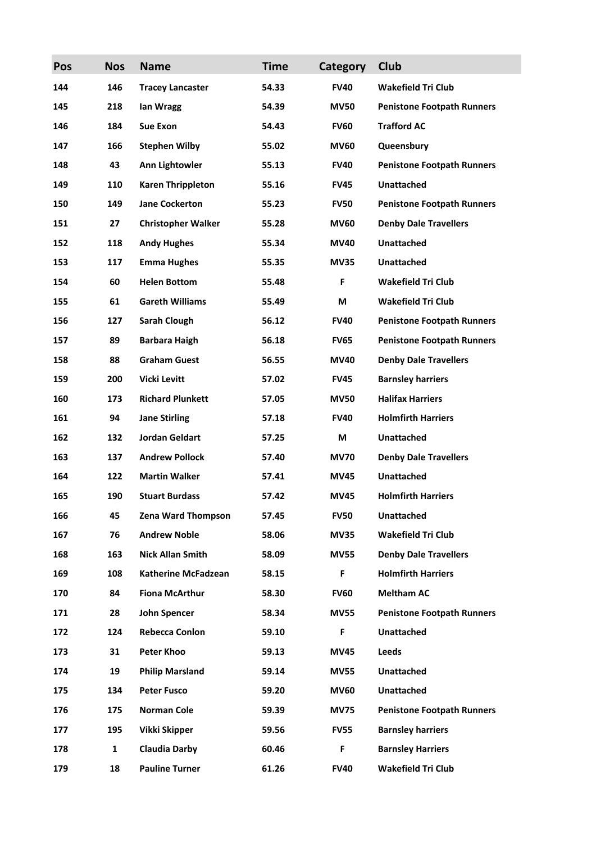| Pos | <b>Nos</b> | <b>Name</b>                | <b>Time</b> | Category    | Club                              |
|-----|------------|----------------------------|-------------|-------------|-----------------------------------|
| 144 | 146        | <b>Tracey Lancaster</b>    | 54.33       | <b>FV40</b> | <b>Wakefield Tri Club</b>         |
| 145 | 218        | lan Wragg                  | 54.39       | <b>MV50</b> | <b>Penistone Footpath Runners</b> |
| 146 | 184        | <b>Sue Exon</b>            | 54.43       | <b>FV60</b> | <b>Trafford AC</b>                |
| 147 | 166        | <b>Stephen Wilby</b>       | 55.02       | <b>MV60</b> | Queensbury                        |
| 148 | 43         | Ann Lightowler             | 55.13       | <b>FV40</b> | <b>Penistone Footpath Runners</b> |
| 149 | 110        | <b>Karen Thrippleton</b>   | 55.16       | <b>FV45</b> | <b>Unattached</b>                 |
| 150 | 149        | <b>Jane Cockerton</b>      | 55.23       | <b>FV50</b> | <b>Penistone Footpath Runners</b> |
| 151 | 27         | <b>Christopher Walker</b>  | 55.28       | <b>MV60</b> | <b>Denby Dale Travellers</b>      |
| 152 | 118        | <b>Andy Hughes</b>         | 55.34       | <b>MV40</b> | <b>Unattached</b>                 |
| 153 | 117        | <b>Emma Hughes</b>         | 55.35       | <b>MV35</b> | <b>Unattached</b>                 |
| 154 | 60         | <b>Helen Bottom</b>        | 55.48       | F           | <b>Wakefield Tri Club</b>         |
| 155 | 61         | <b>Gareth Williams</b>     | 55.49       | М           | <b>Wakefield Tri Club</b>         |
| 156 | 127        | <b>Sarah Clough</b>        | 56.12       | <b>FV40</b> | <b>Penistone Footpath Runners</b> |
| 157 | 89         | <b>Barbara Haigh</b>       | 56.18       | <b>FV65</b> | <b>Penistone Footpath Runners</b> |
| 158 | 88         | <b>Graham Guest</b>        | 56.55       | <b>MV40</b> | <b>Denby Dale Travellers</b>      |
| 159 | 200        | <b>Vicki Levitt</b>        | 57.02       | <b>FV45</b> | <b>Barnsley harriers</b>          |
| 160 | 173        | <b>Richard Plunkett</b>    | 57.05       | <b>MV50</b> | <b>Halifax Harriers</b>           |
| 161 | 94         | <b>Jane Stirling</b>       | 57.18       | <b>FV40</b> | <b>Holmfirth Harriers</b>         |
| 162 | 132        | <b>Jordan Geldart</b>      | 57.25       | M           | <b>Unattached</b>                 |
| 163 | 137        | <b>Andrew Pollock</b>      | 57.40       | <b>MV70</b> | <b>Denby Dale Travellers</b>      |
| 164 | 122        | <b>Martin Walker</b>       | 57.41       | <b>MV45</b> | <b>Unattached</b>                 |
| 165 | 190        | <b>Stuart Burdass</b>      | 57.42       | <b>MV45</b> | <b>Holmfirth Harriers</b>         |
| 166 | 45         | <b>Zena Ward Thompson</b>  | 57.45       | <b>FV50</b> | <b>Unattached</b>                 |
| 167 | 76         | <b>Andrew Noble</b>        | 58.06       | <b>MV35</b> | <b>Wakefield Tri Club</b>         |
| 168 | 163        | <b>Nick Allan Smith</b>    | 58.09       | <b>MV55</b> | <b>Denby Dale Travellers</b>      |
| 169 | 108        | <b>Katherine McFadzean</b> | 58.15       | F           | <b>Holmfirth Harriers</b>         |
| 170 | 84         | <b>Fiona McArthur</b>      | 58.30       | <b>FV60</b> | <b>Meltham AC</b>                 |
| 171 | 28         | <b>John Spencer</b>        | 58.34       | <b>MV55</b> | <b>Penistone Footpath Runners</b> |
| 172 | 124        | <b>Rebecca Conlon</b>      | 59.10       | F           | <b>Unattached</b>                 |
| 173 | 31         | <b>Peter Khoo</b>          | 59.13       | <b>MV45</b> | Leeds                             |
| 174 | 19         | <b>Philip Marsland</b>     | 59.14       | <b>MV55</b> | <b>Unattached</b>                 |
| 175 | 134        | <b>Peter Fusco</b>         | 59.20       | <b>MV60</b> | <b>Unattached</b>                 |
| 176 | 175        | <b>Norman Cole</b>         | 59.39       | <b>MV75</b> | <b>Penistone Footpath Runners</b> |
| 177 | 195        | Vikki Skipper              | 59.56       | <b>FV55</b> | <b>Barnsley harriers</b>          |
| 178 | 1          | <b>Claudia Darby</b>       | 60.46       | $\mathsf F$ | <b>Barnsley Harriers</b>          |
| 179 | 18         | <b>Pauline Turner</b>      | 61.26       | <b>FV40</b> | <b>Wakefield Tri Club</b>         |